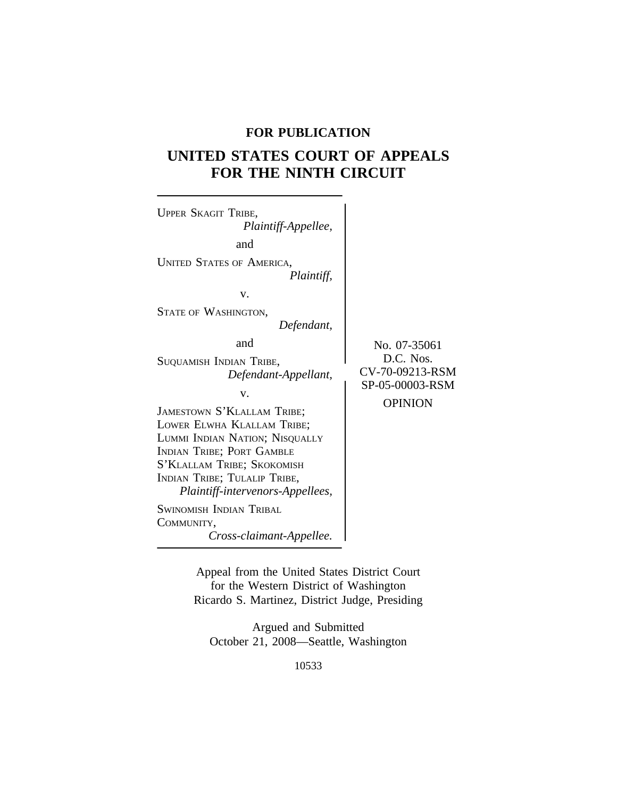# **FOR PUBLICATION**

# **UNITED STATES COURT OF APPEALS FOR THE NINTH CIRCUIT**



Appeal from the United States District Court for the Western District of Washington Ricardo S. Martinez, District Judge, Presiding

Argued and Submitted October 21, 2008—Seattle, Washington

10533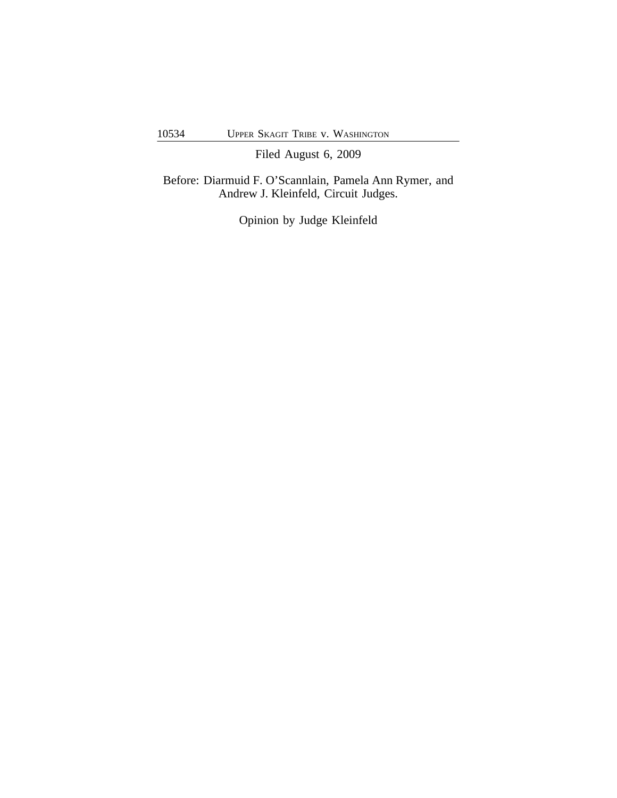Filed August 6, 2009

Before: Diarmuid F. O'Scannlain, Pamela Ann Rymer, and Andrew J. Kleinfeld, Circuit Judges.

Opinion by Judge Kleinfeld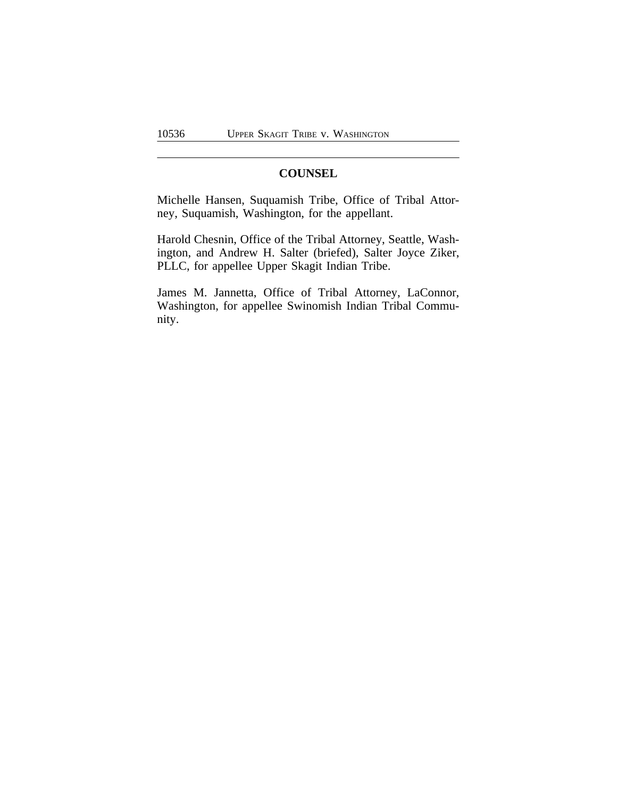# **COUNSEL**

Michelle Hansen, Suquamish Tribe, Office of Tribal Attorney, Suquamish, Washington, for the appellant.

Harold Chesnin, Office of the Tribal Attorney, Seattle, Washington, and Andrew H. Salter (briefed), Salter Joyce Ziker, PLLC, for appellee Upper Skagit Indian Tribe.

James M. Jannetta, Office of Tribal Attorney, LaConnor, Washington, for appellee Swinomish Indian Tribal Community.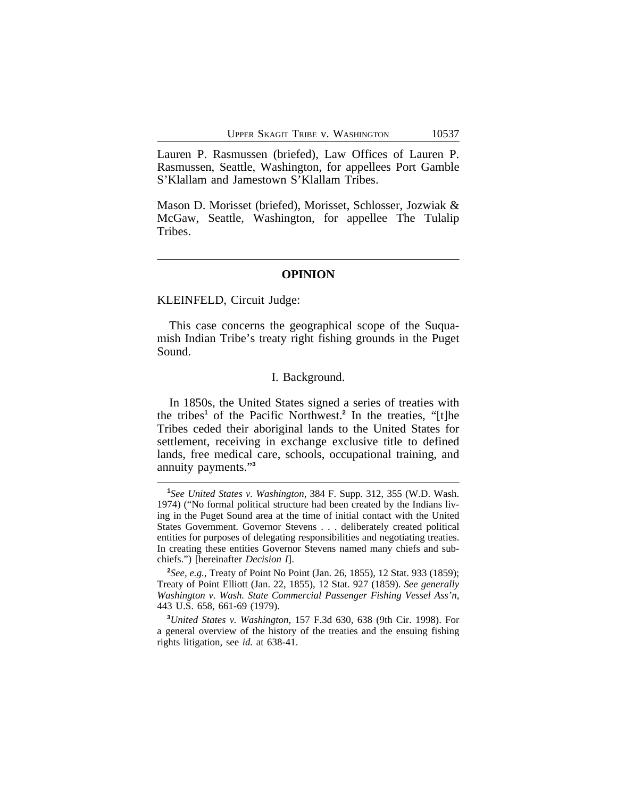Lauren P. Rasmussen (briefed), Law Offices of Lauren P. Rasmussen, Seattle, Washington, for appellees Port Gamble S'Klallam and Jamestown S'Klallam Tribes.

Mason D. Morisset (briefed), Morisset, Schlosser, Jozwiak & McGaw, Seattle, Washington, for appellee The Tulalip Tribes.

#### **OPINION**

KLEINFELD, Circuit Judge:

This case concerns the geographical scope of the Suquamish Indian Tribe's treaty right fishing grounds in the Puget Sound.

## I. Background.

In 1850s, the United States signed a series of treaties with the tribes**<sup>1</sup>** of the Pacific Northwest.**<sup>2</sup>** In the treaties, "[t]he Tribes ceded their aboriginal lands to the United States for settlement, receiving in exchange exclusive title to defined lands, free medical care, schools, occupational training, and annuity payments." **3**

**2** *See, e.g.*, Treaty of Point No Point (Jan. 26, 1855), 12 Stat. 933 (1859); Treaty of Point Elliott (Jan. 22, 1855), 12 Stat. 927 (1859). *See generally Washington v. Wash. State Commercial Passenger Fishing Vessel Ass'n*, 443 U.S. 658, 661-69 (1979).

**<sup>3</sup>***United States v. Washington*, 157 F.3d 630, 638 (9th Cir. 1998). For a general overview of the history of the treaties and the ensuing fishing rights litigation, see *id.* at 638-41.

**<sup>1</sup>** *See United States v. Washington*, 384 F. Supp. 312, 355 (W.D. Wash. 1974) ("No formal political structure had been created by the Indians living in the Puget Sound area at the time of initial contact with the United States Government. Governor Stevens . . . deliberately created political entities for purposes of delegating responsibilities and negotiating treaties. In creating these entities Governor Stevens named many chiefs and subchiefs.") [hereinafter *Decision I*].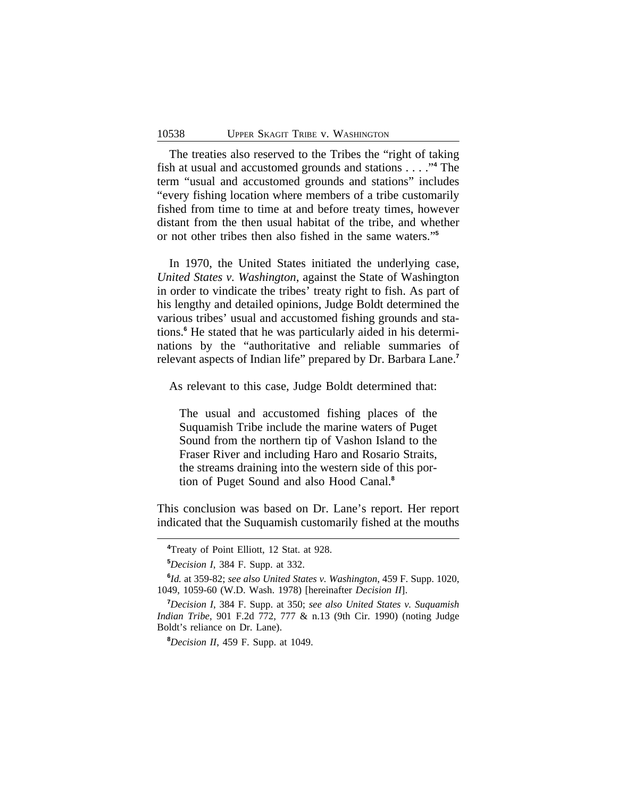The treaties also reserved to the Tribes the "right of taking fish at usual and accustomed grounds and stations . . . ." **4** The term "usual and accustomed grounds and stations" includes "every fishing location where members of a tribe customarily fished from time to time at and before treaty times, however distant from the then usual habitat of the tribe, and whether or not other tribes then also fished in the same waters." **5**

In 1970, the United States initiated the underlying case, *United States v. Washington*, against the State of Washington in order to vindicate the tribes' treaty right to fish. As part of his lengthy and detailed opinions, Judge Boldt determined the various tribes' usual and accustomed fishing grounds and stations.**<sup>6</sup>** He stated that he was particularly aided in his determinations by the "authoritative and reliable summaries of relevant aspects of Indian life" prepared by Dr. Barbara Lane.**<sup>7</sup>**

As relevant to this case, Judge Boldt determined that:

The usual and accustomed fishing places of the Suquamish Tribe include the marine waters of Puget Sound from the northern tip of Vashon Island to the Fraser River and including Haro and Rosario Straits, the streams draining into the western side of this portion of Puget Sound and also Hood Canal.**<sup>8</sup>**

This conclusion was based on Dr. Lane's report. Her report indicated that the Suquamish customarily fished at the mouths

**<sup>8</sup>***Decision II*, 459 F. Supp. at 1049.

**<sup>4</sup>**Treaty of Point Elliott, 12 Stat. at 928.

**<sup>5</sup>***Decision I*, 384 F. Supp. at 332.

**<sup>6</sup>** *Id.* at 359-82; *see also United States v. Washington*, 459 F. Supp. 1020, 1049, 1059-60 (W.D. Wash. 1978) [hereinafter *Decision II*].

**<sup>7</sup>***Decision I*, 384 F. Supp. at 350; *see also United States v. Suquamish Indian Tribe*, 901 F.2d 772, 777 & n.13 (9th Cir. 1990) (noting Judge Boldt's reliance on Dr. Lane).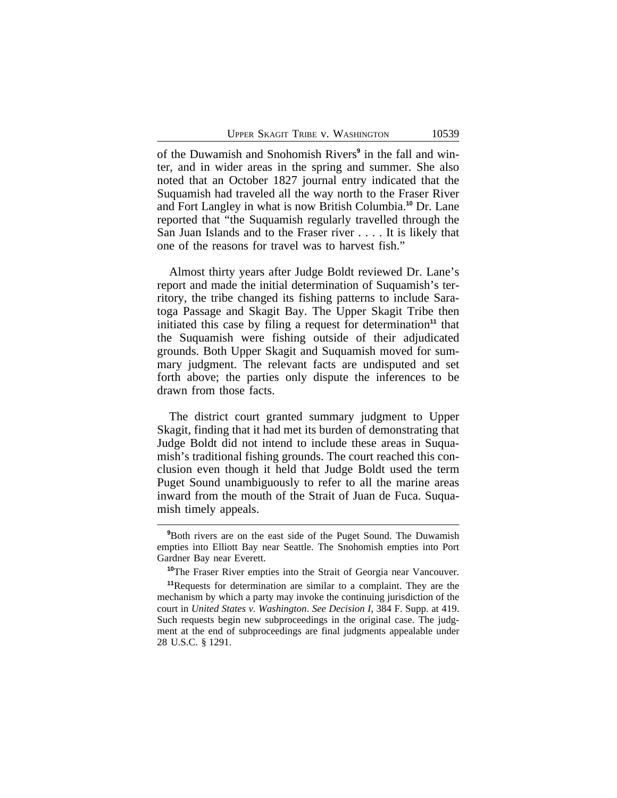of the Duwamish and Snohomish Rivers**<sup>9</sup>** in the fall and winter, and in wider areas in the spring and summer. She also noted that an October 1827 journal entry indicated that the Suquamish had traveled all the way north to the Fraser River and Fort Langley in what is now British Columbia.**<sup>10</sup>** Dr. Lane reported that "the Suquamish regularly travelled through the San Juan Islands and to the Fraser river . . . . It is likely that one of the reasons for travel was to harvest fish."

Almost thirty years after Judge Boldt reviewed Dr. Lane's report and made the initial determination of Suquamish's territory, the tribe changed its fishing patterns to include Saratoga Passage and Skagit Bay. The Upper Skagit Tribe then initiated this case by filing a request for determination<sup>11</sup> that the Suquamish were fishing outside of their adjudicated grounds. Both Upper Skagit and Suquamish moved for summary judgment. The relevant facts are undisputed and set forth above; the parties only dispute the inferences to be drawn from those facts.

The district court granted summary judgment to Upper Skagit, finding that it had met its burden of demonstrating that Judge Boldt did not intend to include these areas in Suquamish's traditional fishing grounds. The court reached this conclusion even though it held that Judge Boldt used the term Puget Sound unambiguously to refer to all the marine areas inward from the mouth of the Strait of Juan de Fuca. Suquamish timely appeals.

**<sup>9</sup>**Both rivers are on the east side of the Puget Sound. The Duwamish empties into Elliott Bay near Seattle. The Snohomish empties into Port Gardner Bay near Everett.

**<sup>10</sup>**The Fraser River empties into the Strait of Georgia near Vancouver.

**<sup>11</sup>**Requests for determination are similar to a complaint. They are the mechanism by which a party may invoke the continuing jurisdiction of the court in *United States v. Washington*. *See Decision I*, 384 F. Supp. at 419. Such requests begin new subproceedings in the original case. The judgment at the end of subproceedings are final judgments appealable under 28 U.S.C. § 1291.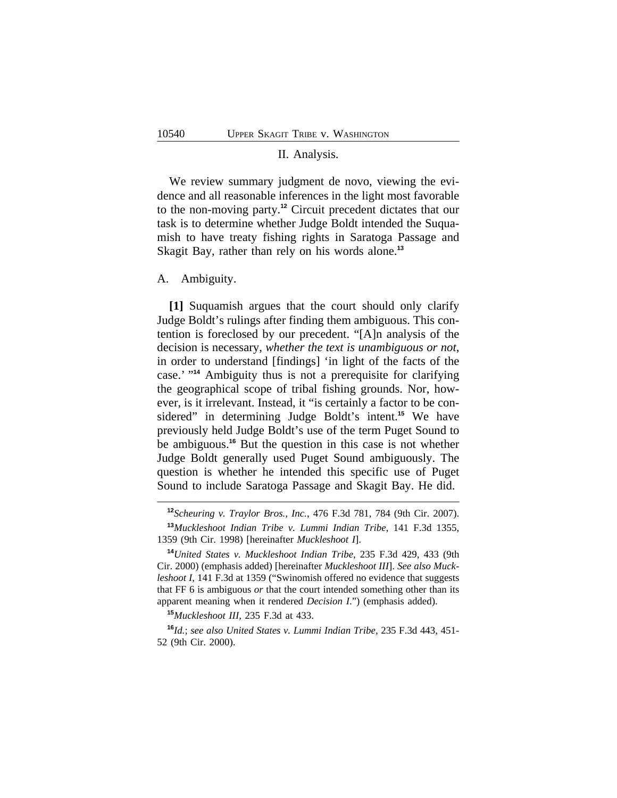#### II. Analysis.

We review summary judgment de novo, viewing the evidence and all reasonable inferences in the light most favorable to the non-moving party.**<sup>12</sup>** Circuit precedent dictates that our task is to determine whether Judge Boldt intended the Suquamish to have treaty fishing rights in Saratoga Passage and Skagit Bay, rather than rely on his words alone.**<sup>13</sup>**

### A. Ambiguity.

**[1]** Suquamish argues that the court should only clarify Judge Boldt's rulings after finding them ambiguous. This contention is foreclosed by our precedent. "[A]n analysis of the decision is necessary, *whether the text is unambiguous or not*, in order to understand [findings] 'in light of the facts of the case.' " **<sup>14</sup>** Ambiguity thus is not a prerequisite for clarifying the geographical scope of tribal fishing grounds. Nor, however, is it irrelevant. Instead, it "is certainly a factor to be considered" in determining Judge Boldt's intent.**<sup>15</sup>** We have previously held Judge Boldt's use of the term Puget Sound to be ambiguous.**<sup>16</sup>** But the question in this case is not whether Judge Boldt generally used Puget Sound ambiguously. The question is whether he intended this specific use of Puget Sound to include Saratoga Passage and Skagit Bay. He did.

**<sup>15</sup>***Muckleshoot III*, 235 F.3d at 433.

**<sup>16</sup>***Id.*; *see also United States v. Lummi Indian Tribe*, 235 F.3d 443, 451- 52 (9th Cir. 2000).

**<sup>12</sup>***Scheuring v. Traylor Bros., Inc.*, 476 F.3d 781, 784 (9th Cir. 2007). **<sup>13</sup>***Muckleshoot Indian Tribe v. Lummi Indian Tribe*, 141 F.3d 1355, 1359 (9th Cir. 1998) [hereinafter *Muckleshoot I*].

**<sup>14</sup>***United States v. Muckleshoot Indian Tribe*, 235 F.3d 429, 433 (9th Cir. 2000) (emphasis added) [hereinafter *Muckleshoot III*]. *See also Muckleshoot I*, 141 F.3d at 1359 ("Swinomish offered no evidence that suggests that FF 6 is ambiguous *or* that the court intended something other than its apparent meaning when it rendered *Decision I*.") (emphasis added).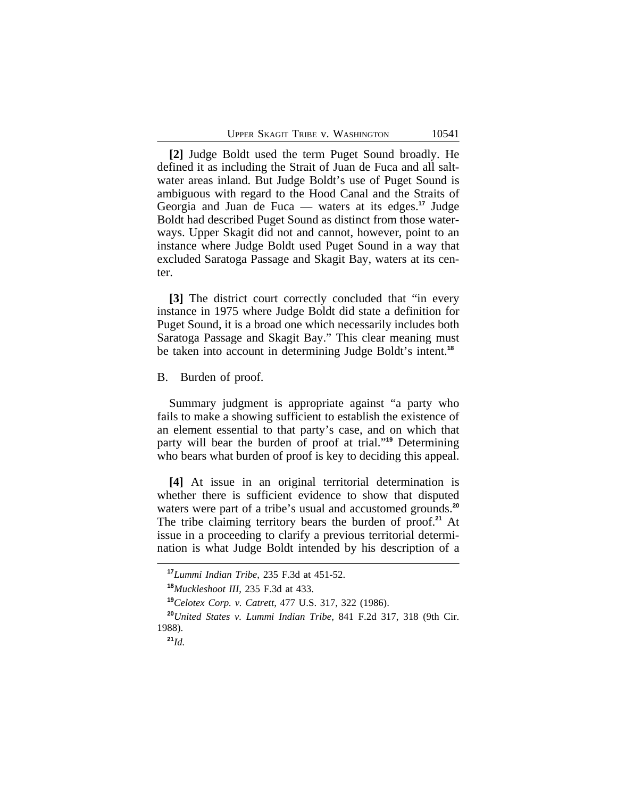**[2]** Judge Boldt used the term Puget Sound broadly. He defined it as including the Strait of Juan de Fuca and all saltwater areas inland. But Judge Boldt's use of Puget Sound is ambiguous with regard to the Hood Canal and the Straits of Georgia and Juan de Fuca — waters at its edges.**<sup>17</sup>** Judge Boldt had described Puget Sound as distinct from those waterways. Upper Skagit did not and cannot, however, point to an instance where Judge Boldt used Puget Sound in a way that excluded Saratoga Passage and Skagit Bay, waters at its center.

**[3]** The district court correctly concluded that "in every instance in 1975 where Judge Boldt did state a definition for Puget Sound, it is a broad one which necessarily includes both Saratoga Passage and Skagit Bay." This clear meaning must be taken into account in determining Judge Boldt's intent.**<sup>18</sup>**

B. Burden of proof.

Summary judgment is appropriate against "a party who fails to make a showing sufficient to establish the existence of an element essential to that party's case, and on which that party will bear the burden of proof at trial." **<sup>19</sup>** Determining who bears what burden of proof is key to deciding this appeal.

**[4]** At issue in an original territorial determination is whether there is sufficient evidence to show that disputed waters were part of a tribe's usual and accustomed grounds.**<sup>20</sup>** The tribe claiming territory bears the burden of proof.**<sup>21</sup>** At issue in a proceeding to clarify a previous territorial determination is what Judge Boldt intended by his description of a

**<sup>17</sup>***Lummi Indian Tribe*, 235 F.3d at 451-52.

**<sup>18</sup>***Muckleshoot III*, 235 F.3d at 433.

**<sup>19</sup>***Celotex Corp. v. Catrett*, 477 U.S. 317, 322 (1986).

**<sup>20</sup>***United States v. Lummi Indian Tribe*, 841 F.2d 317, 318 (9th Cir. 1988).

**<sup>21</sup>***Id.*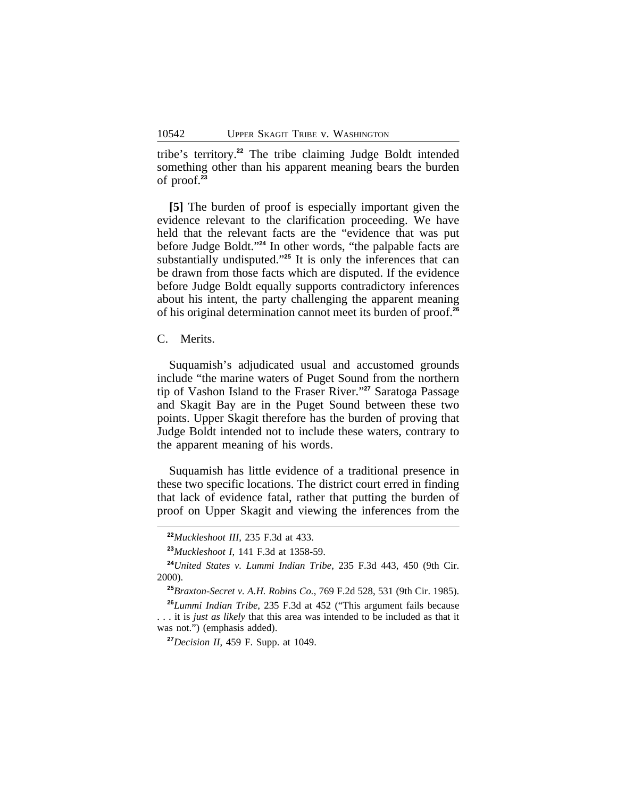tribe's territory.**<sup>22</sup>** The tribe claiming Judge Boldt intended something other than his apparent meaning bears the burden of proof.**<sup>23</sup>**

**[5]** The burden of proof is especially important given the evidence relevant to the clarification proceeding. We have held that the relevant facts are the "evidence that was put before Judge Boldt." **<sup>24</sup>** In other words, "the palpable facts are substantially undisputed." **<sup>25</sup>** It is only the inferences that can be drawn from those facts which are disputed. If the evidence before Judge Boldt equally supports contradictory inferences about his intent, the party challenging the apparent meaning of his original determination cannot meet its burden of proof.**<sup>26</sup>**

C. Merits.

Suquamish's adjudicated usual and accustomed grounds include "the marine waters of Puget Sound from the northern tip of Vashon Island to the Fraser River." **<sup>27</sup>** Saratoga Passage and Skagit Bay are in the Puget Sound between these two points. Upper Skagit therefore has the burden of proving that Judge Boldt intended not to include these waters, contrary to the apparent meaning of his words.

Suquamish has little evidence of a traditional presence in these two specific locations. The district court erred in finding that lack of evidence fatal, rather that putting the burden of proof on Upper Skagit and viewing the inferences from the

**<sup>22</sup>***Muckleshoot III*, 235 F.3d at 433.

**<sup>23</sup>***Muckleshoot I*, 141 F.3d at 1358-59.

**<sup>24</sup>***United States v. Lummi Indian Tribe*, 235 F.3d 443, 450 (9th Cir. 2000).

**<sup>25</sup>***Braxton-Secret v. A.H. Robins Co.*, 769 F.2d 528, 531 (9th Cir. 1985).

**<sup>26</sup>***Lummi Indian Tribe*, 235 F.3d at 452 ("This argument fails because . . . it is *just as likely* that this area was intended to be included as that it was not.") (emphasis added).

**<sup>27</sup>***Decision II*, 459 F. Supp. at 1049.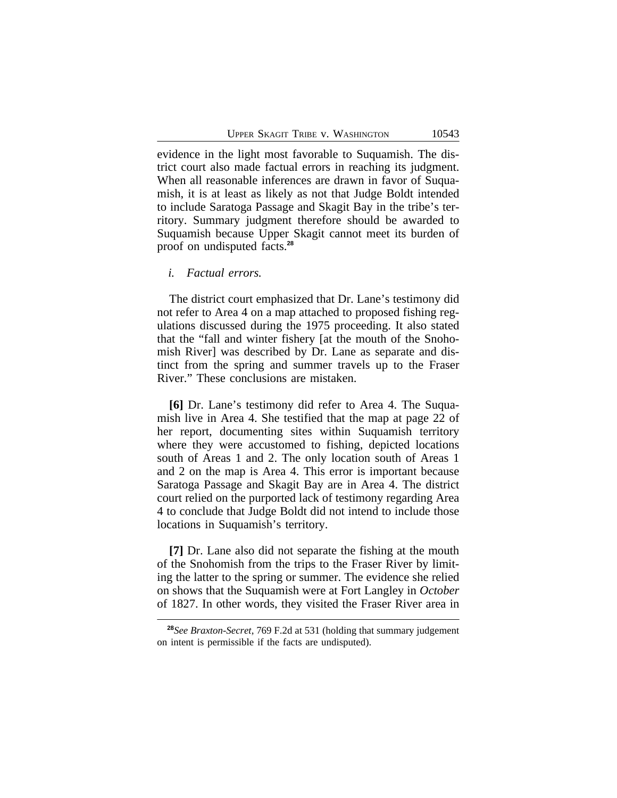evidence in the light most favorable to Suquamish. The district court also made factual errors in reaching its judgment. When all reasonable inferences are drawn in favor of Suquamish, it is at least as likely as not that Judge Boldt intended to include Saratoga Passage and Skagit Bay in the tribe's territory. Summary judgment therefore should be awarded to Suquamish because Upper Skagit cannot meet its burden of proof on undisputed facts.**<sup>28</sup>**

## *i. Factual errors.*

The district court emphasized that Dr. Lane's testimony did not refer to Area 4 on a map attached to proposed fishing regulations discussed during the 1975 proceeding. It also stated that the "fall and winter fishery [at the mouth of the Snohomish River] was described by Dr. Lane as separate and distinct from the spring and summer travels up to the Fraser River." These conclusions are mistaken.

**[6]** Dr. Lane's testimony did refer to Area 4. The Suquamish live in Area 4. She testified that the map at page 22 of her report, documenting sites within Suquamish territory where they were accustomed to fishing, depicted locations south of Areas 1 and 2. The only location south of Areas 1 and 2 on the map is Area 4. This error is important because Saratoga Passage and Skagit Bay are in Area 4. The district court relied on the purported lack of testimony regarding Area 4 to conclude that Judge Boldt did not intend to include those locations in Suquamish's territory.

**[7]** Dr. Lane also did not separate the fishing at the mouth of the Snohomish from the trips to the Fraser River by limiting the latter to the spring or summer. The evidence she relied on shows that the Suquamish were at Fort Langley in *October* of 1827. In other words, they visited the Fraser River area in

**<sup>28</sup>***See Braxton-Secret*, 769 F.2d at 531 (holding that summary judgement on intent is permissible if the facts are undisputed).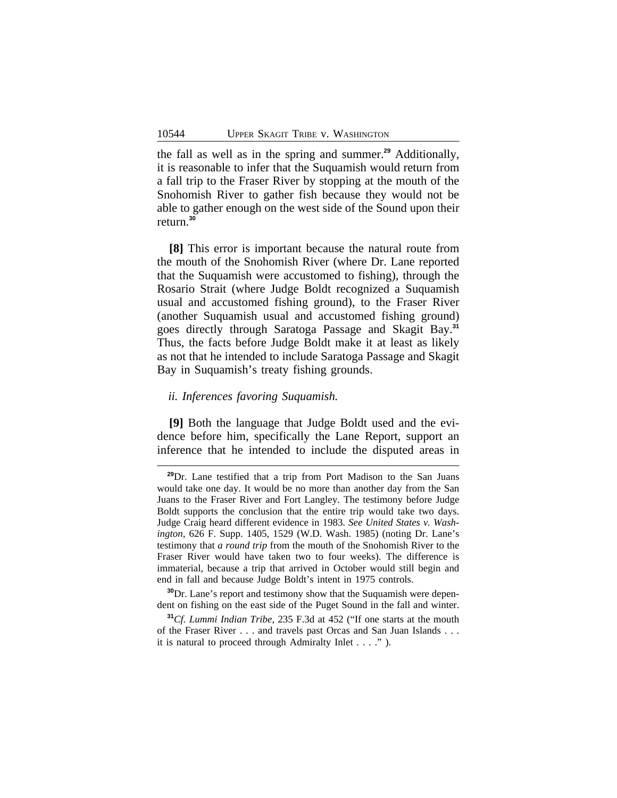the fall as well as in the spring and summer.**<sup>29</sup>** Additionally, it is reasonable to infer that the Suquamish would return from a fall trip to the Fraser River by stopping at the mouth of the Snohomish River to gather fish because they would not be able to gather enough on the west side of the Sound upon their return.**<sup>30</sup>**

**[8]** This error is important because the natural route from the mouth of the Snohomish River (where Dr. Lane reported that the Suquamish were accustomed to fishing), through the Rosario Strait (where Judge Boldt recognized a Suquamish usual and accustomed fishing ground), to the Fraser River (another Suquamish usual and accustomed fishing ground) goes directly through Saratoga Passage and Skagit Bay.**<sup>31</sup>** Thus, the facts before Judge Boldt make it at least as likely as not that he intended to include Saratoga Passage and Skagit Bay in Suquamish's treaty fishing grounds.

## *ii. Inferences favoring Suquamish.*

**[9]** Both the language that Judge Boldt used and the evidence before him, specifically the Lane Report, support an inference that he intended to include the disputed areas in

**<sup>30</sup>**Dr. Lane's report and testimony show that the Suquamish were dependent on fishing on the east side of the Puget Sound in the fall and winter.

**<sup>29</sup>**Dr. Lane testified that a trip from Port Madison to the San Juans would take one day. It would be no more than another day from the San Juans to the Fraser River and Fort Langley. The testimony before Judge Boldt supports the conclusion that the entire trip would take two days. Judge Craig heard different evidence in 1983. *See United States v. Washington*, 626 F. Supp. 1405, 1529 (W.D. Wash. 1985) (noting Dr. Lane's testimony that *a round trip* from the mouth of the Snohomish River to the Fraser River would have taken two to four weeks). The difference is immaterial, because a trip that arrived in October would still begin and end in fall and because Judge Boldt's intent in 1975 controls.

**<sup>31</sup>***Cf. Lummi Indian Tribe*, 235 F.3d at 452 ("If one starts at the mouth of the Fraser River . . . and travels past Orcas and San Juan Islands . . . it is natural to proceed through Admiralty Inlet . . . ." ).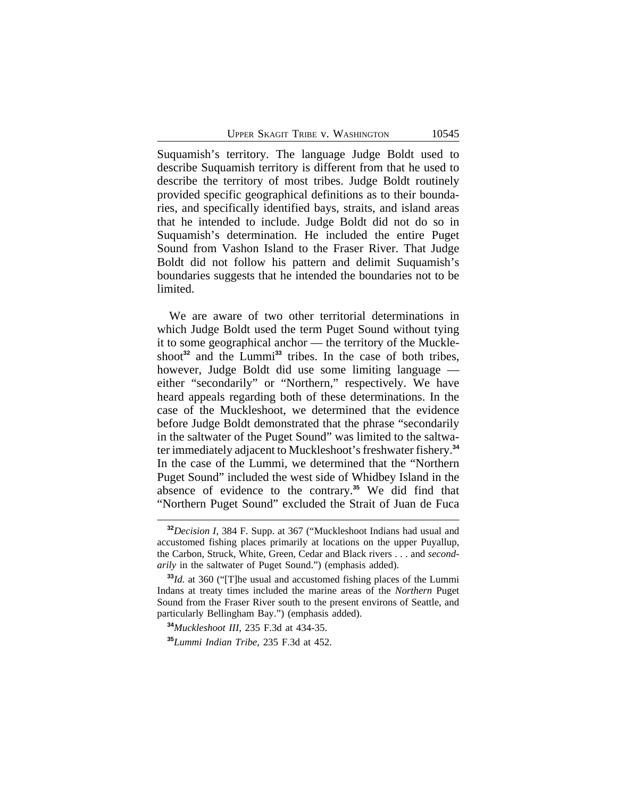Suquamish's territory. The language Judge Boldt used to describe Suquamish territory is different from that he used to describe the territory of most tribes. Judge Boldt routinely provided specific geographical definitions as to their boundaries, and specifically identified bays, straits, and island areas that he intended to include. Judge Boldt did not do so in Suquamish's determination. He included the entire Puget Sound from Vashon Island to the Fraser River. That Judge Boldt did not follow his pattern and delimit Suquamish's boundaries suggests that he intended the boundaries not to be limited.

We are aware of two other territorial determinations in which Judge Boldt used the term Puget Sound without tying it to some geographical anchor — the territory of the Muckleshoot<sup>32</sup> and the Lummi<sup>33</sup> tribes. In the case of both tribes, however, Judge Boldt did use some limiting language either "secondarily" or "Northern," respectively. We have heard appeals regarding both of these determinations. In the case of the Muckleshoot, we determined that the evidence before Judge Boldt demonstrated that the phrase "secondarily in the saltwater of the Puget Sound" was limited to the saltwater immediately adjacent to Muckleshoot's freshwater fishery.**<sup>34</sup>** In the case of the Lummi, we determined that the "Northern Puget Sound" included the west side of Whidbey Island in the absence of evidence to the contrary.**<sup>35</sup>** We did find that "Northern Puget Sound" excluded the Strait of Juan de Fuca

**<sup>32</sup>***Decision I*, 384 F. Supp. at 367 ("Muckleshoot Indians had usual and accustomed fishing places primarily at locations on the upper Puyallup, the Carbon, Struck, White, Green, Cedar and Black rivers . . . and *secondarily* in the saltwater of Puget Sound.") (emphasis added).

**<sup>33</sup>***Id.* at 360 ("[T]he usual and accustomed fishing places of the Lummi Indans at treaty times included the marine areas of the *Northern* Puget Sound from the Fraser River south to the present environs of Seattle, and particularly Bellingham Bay.") (emphasis added).

**<sup>34</sup>***Muckleshoot III*, 235 F.3d at 434-35.

**<sup>35</sup>***Lummi Indian Tribe*, 235 F.3d at 452.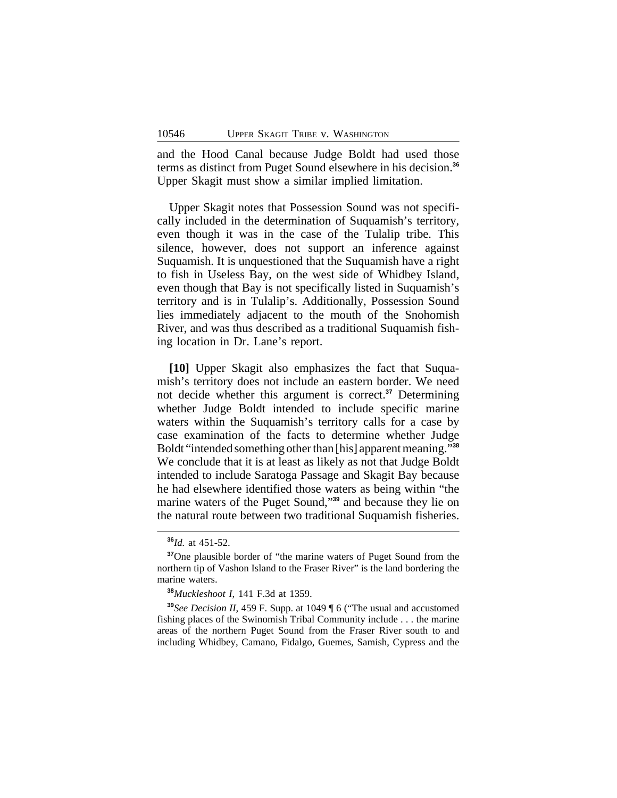and the Hood Canal because Judge Boldt had used those terms as distinct from Puget Sound elsewhere in his decision.**<sup>36</sup>** Upper Skagit must show a similar implied limitation.

Upper Skagit notes that Possession Sound was not specifically included in the determination of Suquamish's territory, even though it was in the case of the Tulalip tribe. This silence, however, does not support an inference against Suquamish. It is unquestioned that the Suquamish have a right to fish in Useless Bay, on the west side of Whidbey Island, even though that Bay is not specifically listed in Suquamish's territory and is in Tulalip's. Additionally, Possession Sound lies immediately adjacent to the mouth of the Snohomish River, and was thus described as a traditional Suquamish fishing location in Dr. Lane's report.

**[10]** Upper Skagit also emphasizes the fact that Suquamish's territory does not include an eastern border. We need not decide whether this argument is correct.**<sup>37</sup>** Determining whether Judge Boldt intended to include specific marine waters within the Suquamish's territory calls for a case by case examination of the facts to determine whether Judge Boldt "intended something other than [his] apparent meaning." **38** We conclude that it is at least as likely as not that Judge Boldt intended to include Saratoga Passage and Skagit Bay because he had elsewhere identified those waters as being within "the marine waters of the Puget Sound," **<sup>39</sup>** and because they lie on the natural route between two traditional Suquamish fisheries.

**<sup>36</sup>***Id.* at 451-52.

**<sup>37</sup>**One plausible border of "the marine waters of Puget Sound from the northern tip of Vashon Island to the Fraser River" is the land bordering the marine waters.

**<sup>38</sup>***Muckleshoot I*, 141 F.3d at 1359.

**<sup>39</sup>***See Decision II*, 459 F. Supp. at 1049 ¶ 6 ("The usual and accustomed fishing places of the Swinomish Tribal Community include . . . the marine areas of the northern Puget Sound from the Fraser River south to and including Whidbey, Camano, Fidalgo, Guemes, Samish, Cypress and the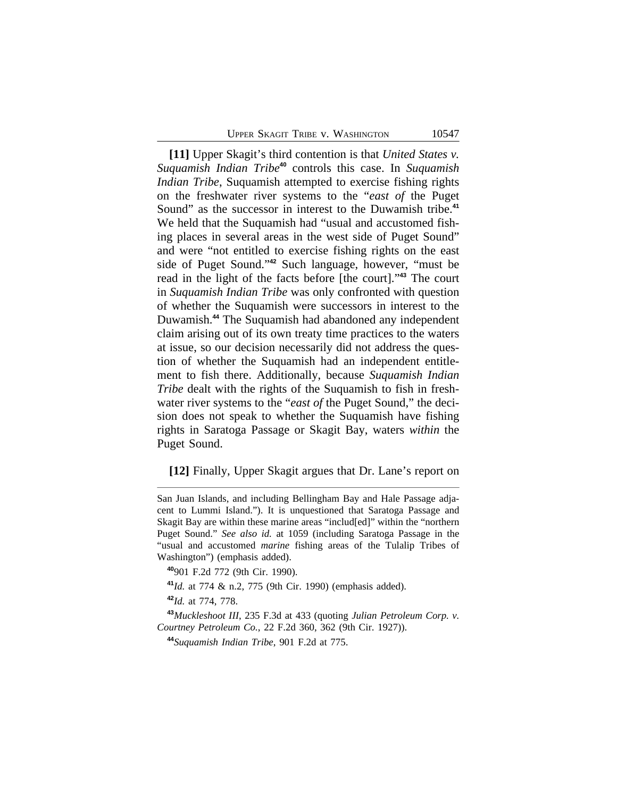**[11]** Upper Skagit's third contention is that *United States v. Suquamish Indian Tribe***<sup>40</sup>** controls this case. In *Suquamish Indian Tribe*, Suquamish attempted to exercise fishing rights on the freshwater river systems to the "*east of* the Puget Sound" as the successor in interest to the Duwamish tribe.**<sup>41</sup>** We held that the Suquamish had "usual and accustomed fishing places in several areas in the west side of Puget Sound" and were "not entitled to exercise fishing rights on the east side of Puget Sound." **<sup>42</sup>** Such language, however, "must be read in the light of the facts before [the court]." **<sup>43</sup>** The court in *Suquamish Indian Tribe* was only confronted with question of whether the Suquamish were successors in interest to the Duwamish.**<sup>44</sup>** The Suquamish had abandoned any independent claim arising out of its own treaty time practices to the waters at issue, so our decision necessarily did not address the question of whether the Suquamish had an independent entitlement to fish there. Additionally, because *Suquamish Indian Tribe* dealt with the rights of the Suquamish to fish in freshwater river systems to the "*east of* the Puget Sound," the decision does not speak to whether the Suquamish have fishing rights in Saratoga Passage or Skagit Bay, waters *within* the Puget Sound.

**[12]** Finally, Upper Skagit argues that Dr. Lane's report on

San Juan Islands, and including Bellingham Bay and Hale Passage adjacent to Lummi Island."). It is unquestioned that Saratoga Passage and Skagit Bay are within these marine areas "includ[ed]" within the "northern Puget Sound." *See also id.* at 1059 (including Saratoga Passage in the "usual and accustomed *marine* fishing areas of the Tulalip Tribes of Washington") (emphasis added).

**<sup>40</sup>**901 F.2d 772 (9th Cir. 1990).

**<sup>41</sup>***Id.* at 774 & n.2, 775 (9th Cir. 1990) (emphasis added).

**<sup>42</sup>***Id.* at 774, 778.

**<sup>43</sup>***Muckleshoot III*, 235 F.3d at 433 (quoting *Julian Petroleum Corp. v. Courtney Petroleum Co.*, 22 F.2d 360, 362 (9th Cir. 1927)).

**<sup>44</sup>***Suquamish Indian Tribe*, 901 F.2d at 775.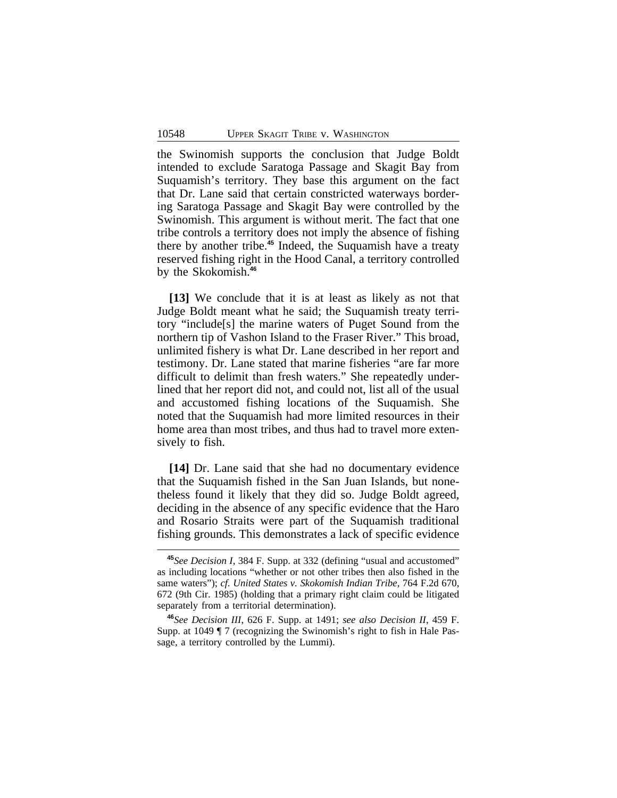the Swinomish supports the conclusion that Judge Boldt intended to exclude Saratoga Passage and Skagit Bay from Suquamish's territory. They base this argument on the fact that Dr. Lane said that certain constricted waterways bordering Saratoga Passage and Skagit Bay were controlled by the Swinomish. This argument is without merit. The fact that one tribe controls a territory does not imply the absence of fishing there by another tribe.**<sup>45</sup>** Indeed, the Suquamish have a treaty reserved fishing right in the Hood Canal, a territory controlled by the Skokomish.**<sup>46</sup>**

**[13]** We conclude that it is at least as likely as not that Judge Boldt meant what he said; the Suquamish treaty territory "include[s] the marine waters of Puget Sound from the northern tip of Vashon Island to the Fraser River." This broad, unlimited fishery is what Dr. Lane described in her report and testimony. Dr. Lane stated that marine fisheries "are far more difficult to delimit than fresh waters." She repeatedly underlined that her report did not, and could not, list all of the usual and accustomed fishing locations of the Suquamish. She noted that the Suquamish had more limited resources in their home area than most tribes, and thus had to travel more extensively to fish.

**[14]** Dr. Lane said that she had no documentary evidence that the Suquamish fished in the San Juan Islands, but nonetheless found it likely that they did so. Judge Boldt agreed, deciding in the absence of any specific evidence that the Haro and Rosario Straits were part of the Suquamish traditional fishing grounds. This demonstrates a lack of specific evidence

**<sup>45</sup>***See Decision I*, 384 F. Supp. at 332 (defining "usual and accustomed" as including locations "whether or not other tribes then also fished in the same waters"); *cf. United States v. Skokomish Indian Tribe*, 764 F.2d 670, 672 (9th Cir. 1985) (holding that a primary right claim could be litigated separately from a territorial determination).

**<sup>46</sup>***See Decision III*, 626 F. Supp. at 1491; *see also Decision II*, 459 F. Supp. at 1049 ¶ 7 (recognizing the Swinomish's right to fish in Hale Passage, a territory controlled by the Lummi).